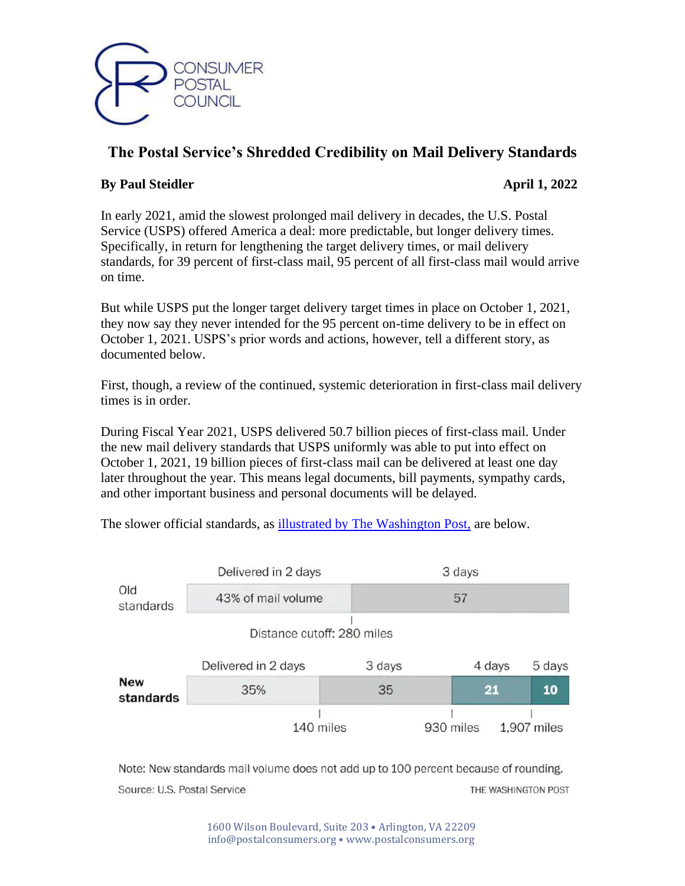

# **The Postal Service's Shredded Credibility on Mail Delivery Standards**

# **By Paul Steidler April 1, 2022**

In early 2021, amid the slowest prolonged mail delivery in decades, the U.S. Postal Service (USPS) offered America a deal: more predictable, but longer delivery times. Specifically, in return for lengthening the target delivery times, or mail delivery standards, for 39 percent of first-class mail, 95 percent of all first-class mail would arrive on time.

But while USPS put the longer target delivery target times in place on October 1, 2021, they now say they never intended for the 95 percent on-time delivery to be in effect on October 1, 2021. USPS's prior words and actions, however, tell a different story, as documented below.

First, though, a review of the continued, systemic deterioration in first-class mail delivery times is in order.

During Fiscal Year 2021, USPS delivered 50.7 billion pieces of first-class mail. Under the new mail delivery standards that USPS uniformly was able to put into effect on October 1, 2021, 19 billion pieces of first-class mail can be delivered at least one day later throughout the year. This means legal documents, bill payments, sympathy cards, and other important business and personal documents will be delayed.

The slower official standards, as [illustrated by The Washington Post,](https://www.washingtonpost.com/business/2021/10/01/usps-slowdown-prices-faq/) are below.



Note: New standards mail volume does not add up to 100 percent because of rounding. Source: U.S. Postal Service THE WASHINGTON POST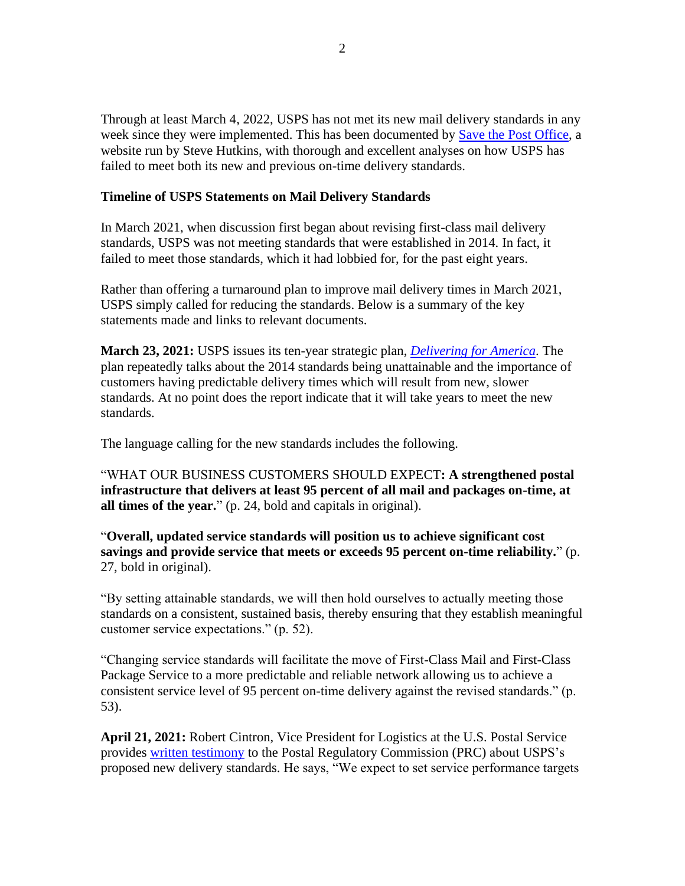Through at least March 4, 2022, USPS has not met its new mail delivery standards in any week since they were implemented. This has been documented by [Save the Post Office,](https://www.savethepostoffice.com/service-performance-dashboard/) a website run by Steve Hutkins, with thorough and excellent analyses on how USPS has failed to meet both its new and previous on-time delivery standards.

### **Timeline of USPS Statements on Mail Delivery Standards**

In March 2021, when discussion first began about revising first-class mail delivery standards, USPS was not meeting standards that were established in 2014. In fact, it failed to meet those standards, which it had lobbied for, for the past eight years.

Rather than offering a turnaround plan to improve mail delivery times in March 2021, USPS simply called for reducing the standards. Below is a summary of the key statements made and links to relevant documents.

**March 23, 2021:** USPS issues its ten-year strategic plan, *[Delivering for America](https://about.usps.com/what/strategic-plans/delivering-for-america/assets/USPS_Delivering-For-America.pdf)*. The plan repeatedly talks about the 2014 standards being unattainable and the importance of customers having predictable delivery times which will result from new, slower standards. At no point does the report indicate that it will take years to meet the new standards.

The language calling for the new standards includes the following.

"WHAT OUR BUSINESS CUSTOMERS SHOULD EXPECT**: A strengthened postal infrastructure that delivers at least 95 percent of all mail and packages on-time, at all times of the year.**" (p. 24, bold and capitals in original).

"**Overall, updated service standards will position us to achieve significant cost savings and provide service that meets or exceeds 95 percent on-time reliability.**" (p. 27, bold in original).

"By setting attainable standards, we will then hold ourselves to actually meeting those standards on a consistent, sustained basis, thereby ensuring that they establish meaningful customer service expectations." (p. 52).

"Changing service standards will facilitate the move of First-Class Mail and First-Class Package Service to a more predictable and reliable network allowing us to achieve a consistent service level of 95 percent on-time delivery against the revised standards." (p. 53).

**April 21, 2021:** Robert Cintron, Vice President for Logistics at the U.S. Postal Service provides [written testimony](https://www.prc.gov/docs/116/116652/N2021-1%20Cintron%20Testimony%20USPS-T-1.pdf) to the Postal Regulatory Commission (PRC) about USPS's proposed new delivery standards. He says, "We expect to set service performance targets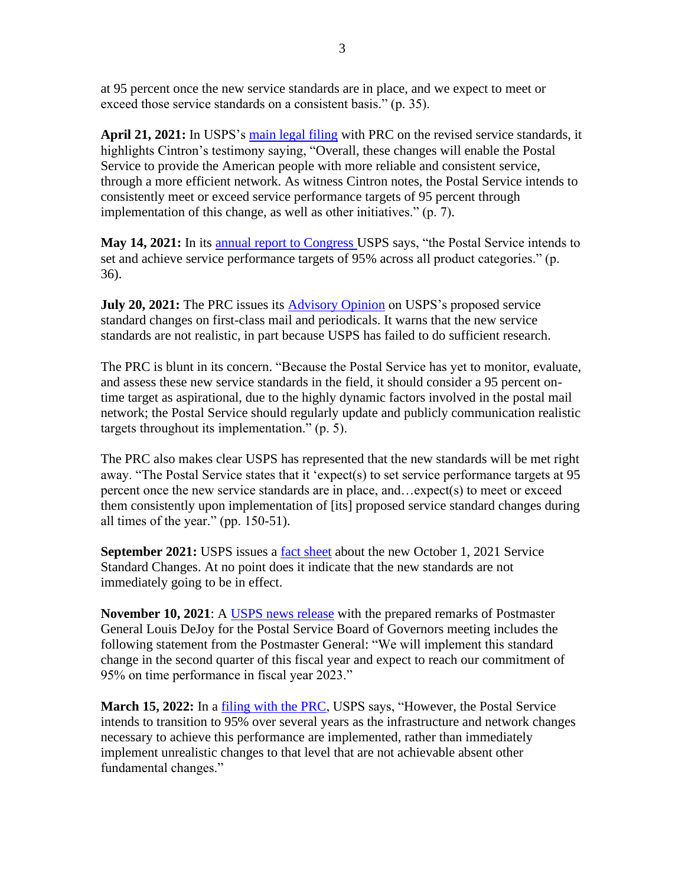at 95 percent once the new service standards are in place, and we expect to meet or exceed those service standards on a consistent basis." (p. 35).

**April 21, 2021:** In USPS's [main legal filing](https://www.prc.gov/docs/116/116645/N2021-1%20Request.pdf) with PRC on the revised service standards, it highlights Cintron's testimony saying, "Overall, these changes will enable the Postal Service to provide the American people with more reliable and consistent service, through a more efficient network. As witness Cintron notes, the Postal Service intends to consistently meet or exceed service performance targets of 95 percent through implementation of this change, as well as other initiatives." (p. 7).

**May 14, 2021:** In its [annual report to Congress](https://about.usps.com/what/financials/annual-reports/fy2020.pdf) USPS says, "the Postal Service intends to set and achieve service performance targets of 95% across all product categories." (p. 36).

**July 20, 2021:** The PRC issues its **Advisory Opinion** on USPS's proposed service standard changes on first-class mail and periodicals. It warns that the new service standards are not realistic, in part because USPS has failed to do sufficient research.

The PRC is blunt in its concern. "Because the Postal Service has yet to monitor, evaluate, and assess these new service standards in the field, it should consider a 95 percent ontime target as aspirational, due to the highly dynamic factors involved in the postal mail network; the Postal Service should regularly update and publicly communication realistic targets throughout its implementation." (p. 5).

The PRC also makes clear USPS has represented that the new standards will be met right away. "The Postal Service states that it 'expect(s) to set service performance targets at 95 percent once the new service standards are in place, and…expect(s) to meet or exceed them consistently upon implementation of [its] proposed service standard changes during all times of the year." (pp. 150-51).

**September 2021:** USPS issues a [fact sheet](https://about.usps.com/what/strategic-plans/delivering-for-america/assets/USPS-Fact-Sheet_FCM-Service-Standard-Change.pdf) about the new October 1, 2021 Service Standard Changes. At no point does it indicate that the new standards are not immediately going to be in effect.

**November 10, 2021**: A [USPS news release](https://about.usps.com/newsroom/national-releases/2021/1110-pmg-and-ceo-louis-dejoy-remarks-during-nov-10-bog-meeting.htm) with the prepared remarks of Postmaster General Louis DeJoy for the Postal Service Board of Governors meeting includes the following statement from the Postmaster General: "We will implement this standard change in the second quarter of this fiscal year and expect to reach our commitment of 95% on time performance in fiscal year 2023."

**March 15, 2022:** In a [filing with the PRC,](https://www.prc.gov/dockets/document/121129) USPS says, "However, the Postal Service intends to transition to 95% over several years as the infrastructure and network changes necessary to achieve this performance are implemented, rather than immediately implement unrealistic changes to that level that are not achievable absent other fundamental changes."